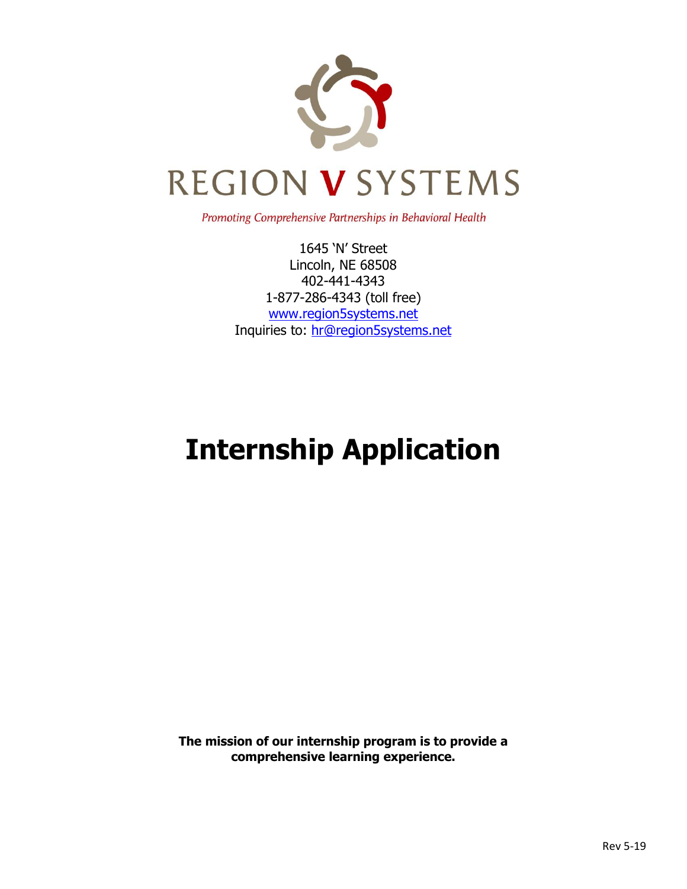

Promoting Comprehensive Partnerships in Behavioral Health

1645 'N' Street Lincoln, NE 68508 402-441-4343 1-877-286-4343 (toll free) [www.region5systems.net](http://www.region5systems.net/) Inquiries to: [hr@region5systems.net](mailto:hr@region5systems.net)

# **Internship Application**

**The mission of our internship program is to provide a comprehensive learning experience.**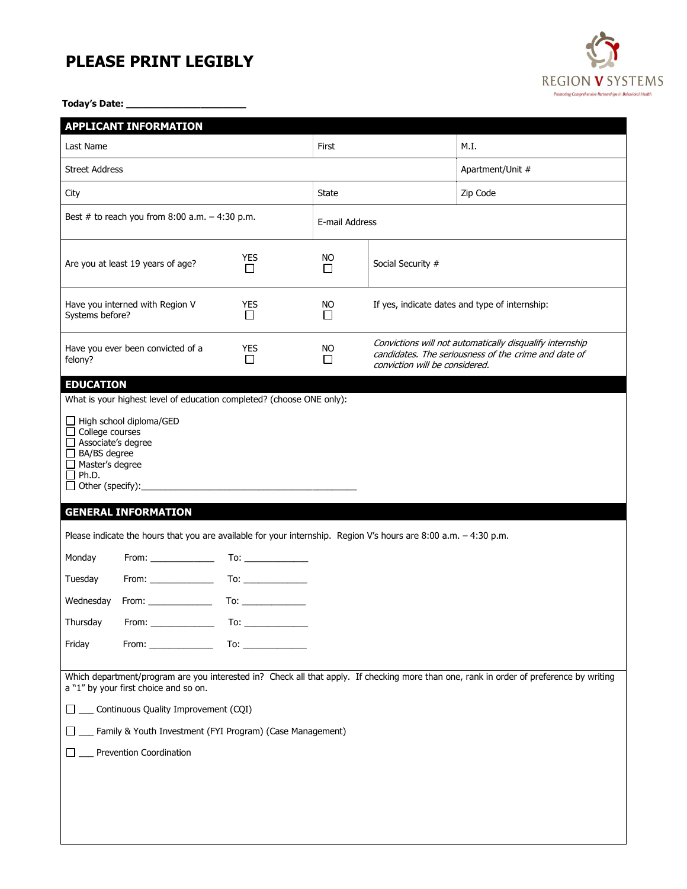## **PLEASE PRINT LEGIBLY**

**Today's Date: \_\_\_\_\_\_\_\_\_\_\_\_\_\_\_\_\_\_\_\_\_**

|                                                                                                                                                                                                                                                                                                                                        | <b>APPLICANT INFORMATION</b>      |                      |                |                                                |                                                                                                                  |  |  |
|----------------------------------------------------------------------------------------------------------------------------------------------------------------------------------------------------------------------------------------------------------------------------------------------------------------------------------------|-----------------------------------|----------------------|----------------|------------------------------------------------|------------------------------------------------------------------------------------------------------------------|--|--|
| Last Name                                                                                                                                                                                                                                                                                                                              |                                   |                      | First          |                                                | M.I.                                                                                                             |  |  |
| <b>Street Address</b>                                                                                                                                                                                                                                                                                                                  |                                   |                      |                |                                                | Apartment/Unit #                                                                                                 |  |  |
| City                                                                                                                                                                                                                                                                                                                                   |                                   |                      |                |                                                | Zip Code                                                                                                         |  |  |
| Best # to reach you from $8:00$ a.m. $-4:30$ p.m.                                                                                                                                                                                                                                                                                      |                                   |                      | E-mail Address |                                                |                                                                                                                  |  |  |
|                                                                                                                                                                                                                                                                                                                                        | Are you at least 19 years of age? | <b>YES</b><br>П      | NO.<br>П       | Social Security #                              |                                                                                                                  |  |  |
| Systems before?                                                                                                                                                                                                                                                                                                                        | Have you interned with Region V   | <b>YES</b><br>$\Box$ | NO.<br>$\Box$  | If yes, indicate dates and type of internship: |                                                                                                                  |  |  |
| felony?                                                                                                                                                                                                                                                                                                                                | Have you ever been convicted of a | <b>YES</b><br>П      | <b>NO</b><br>П | conviction will be considered.                 | Convictions will not automatically disqualify internship<br>candidates. The seriousness of the crime and date of |  |  |
| □ High school diploma/GED<br>$\Box$ College courses<br>Associate's degree<br>□ BA/BS degree<br>$\Box$ Master's degree<br>$\Box$ Ph.D.<br><b>GENERAL INFORMATION</b><br>Please indicate the hours that you are available for your internship. Region V's hours are 8:00 a.m. - 4:30 p.m.<br>Monday                                      |                                   |                      |                |                                                |                                                                                                                  |  |  |
| Tuesday                                                                                                                                                                                                                                                                                                                                |                                   |                      |                |                                                |                                                                                                                  |  |  |
| Wednesday                                                                                                                                                                                                                                                                                                                              |                                   |                      |                |                                                |                                                                                                                  |  |  |
| Thursday                                                                                                                                                                                                                                                                                                                               |                                   |                      |                |                                                |                                                                                                                  |  |  |
| Friday                                                                                                                                                                                                                                                                                                                                 | From: New York Promotion          |                      |                |                                                |                                                                                                                  |  |  |
| Which department/program are you interested in? Check all that apply. If checking more than one, rank in order of preference by writing<br>a "1" by your first choice and so on.<br>__ Continuous Quality Improvement (CQI)<br>$\Box$<br>_ Family & Youth Investment (FYI Program) (Case Management)<br><b>Prevention Coordination</b> |                                   |                      |                |                                                |                                                                                                                  |  |  |

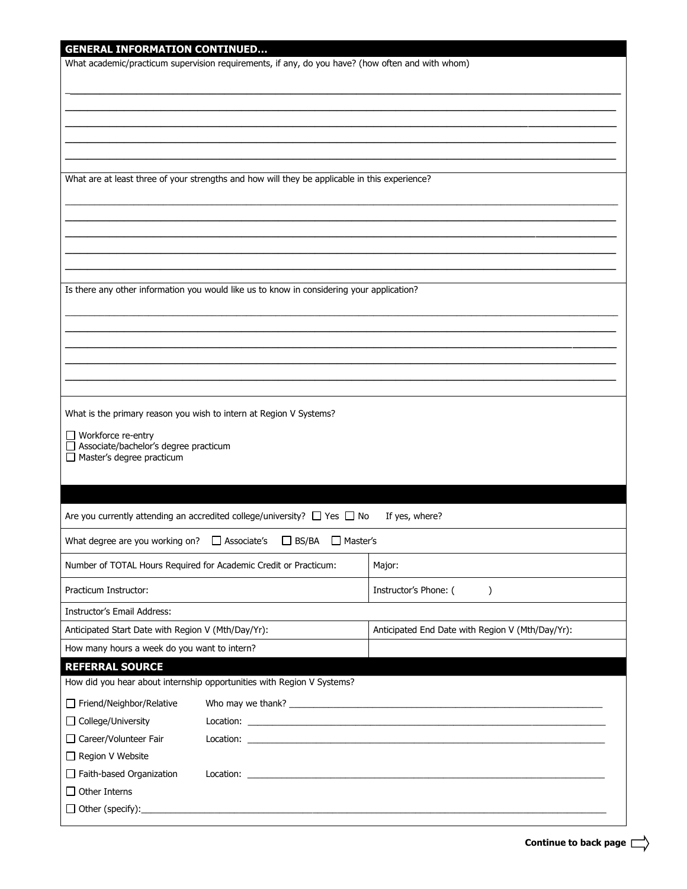| What academic/practicum supervision requirements, if any, do you have? (how often and with whom)<br>What are at least three of your strengths and how will they be applicable in this experience?<br>Is there any other information you would like us to know in considering your application?<br>What is the primary reason you wish to intern at Region V Systems?<br>$\Box$ Workforce re-entry<br>Associate/bachelor's degree practicum<br>Master's degree practicum<br>Are you currently attending an accredited college/university? $\Box$ Yes $\Box$ No<br>If yes, where?<br>What degree are you working on? $\Box$ Associate's<br>□ BS/BA □ Master's<br>Number of TOTAL Hours Required for Academic Credit or Practicum:<br>Major:<br>Instructor's Phone: (<br>Practicum Instructor:<br>$\mathcal{C}$<br><b>Instructor's Email Address:</b><br>Anticipated Start Date with Region V (Mth/Day/Yr):<br>Anticipated End Date with Region V (Mth/Day/Yr):<br>How many hours a week do you want to intern?<br><b>REFERRAL SOURCE</b><br>How did you hear about internship opportunities with Region V Systems?<br>Friend/Neighbor/Relative<br>□ College/University | <b>GENERAL INFORMATION CONTINUED</b> |  |  |  |  |  |  |
|----------------------------------------------------------------------------------------------------------------------------------------------------------------------------------------------------------------------------------------------------------------------------------------------------------------------------------------------------------------------------------------------------------------------------------------------------------------------------------------------------------------------------------------------------------------------------------------------------------------------------------------------------------------------------------------------------------------------------------------------------------------------------------------------------------------------------------------------------------------------------------------------------------------------------------------------------------------------------------------------------------------------------------------------------------------------------------------------------------------------------------------------------------------------|--------------------------------------|--|--|--|--|--|--|
|                                                                                                                                                                                                                                                                                                                                                                                                                                                                                                                                                                                                                                                                                                                                                                                                                                                                                                                                                                                                                                                                                                                                                                      |                                      |  |  |  |  |  |  |
|                                                                                                                                                                                                                                                                                                                                                                                                                                                                                                                                                                                                                                                                                                                                                                                                                                                                                                                                                                                                                                                                                                                                                                      |                                      |  |  |  |  |  |  |
|                                                                                                                                                                                                                                                                                                                                                                                                                                                                                                                                                                                                                                                                                                                                                                                                                                                                                                                                                                                                                                                                                                                                                                      |                                      |  |  |  |  |  |  |
|                                                                                                                                                                                                                                                                                                                                                                                                                                                                                                                                                                                                                                                                                                                                                                                                                                                                                                                                                                                                                                                                                                                                                                      |                                      |  |  |  |  |  |  |
|                                                                                                                                                                                                                                                                                                                                                                                                                                                                                                                                                                                                                                                                                                                                                                                                                                                                                                                                                                                                                                                                                                                                                                      |                                      |  |  |  |  |  |  |
|                                                                                                                                                                                                                                                                                                                                                                                                                                                                                                                                                                                                                                                                                                                                                                                                                                                                                                                                                                                                                                                                                                                                                                      |                                      |  |  |  |  |  |  |
|                                                                                                                                                                                                                                                                                                                                                                                                                                                                                                                                                                                                                                                                                                                                                                                                                                                                                                                                                                                                                                                                                                                                                                      |                                      |  |  |  |  |  |  |
|                                                                                                                                                                                                                                                                                                                                                                                                                                                                                                                                                                                                                                                                                                                                                                                                                                                                                                                                                                                                                                                                                                                                                                      |                                      |  |  |  |  |  |  |
|                                                                                                                                                                                                                                                                                                                                                                                                                                                                                                                                                                                                                                                                                                                                                                                                                                                                                                                                                                                                                                                                                                                                                                      |                                      |  |  |  |  |  |  |
|                                                                                                                                                                                                                                                                                                                                                                                                                                                                                                                                                                                                                                                                                                                                                                                                                                                                                                                                                                                                                                                                                                                                                                      |                                      |  |  |  |  |  |  |
|                                                                                                                                                                                                                                                                                                                                                                                                                                                                                                                                                                                                                                                                                                                                                                                                                                                                                                                                                                                                                                                                                                                                                                      |                                      |  |  |  |  |  |  |
|                                                                                                                                                                                                                                                                                                                                                                                                                                                                                                                                                                                                                                                                                                                                                                                                                                                                                                                                                                                                                                                                                                                                                                      |                                      |  |  |  |  |  |  |
|                                                                                                                                                                                                                                                                                                                                                                                                                                                                                                                                                                                                                                                                                                                                                                                                                                                                                                                                                                                                                                                                                                                                                                      |                                      |  |  |  |  |  |  |
|                                                                                                                                                                                                                                                                                                                                                                                                                                                                                                                                                                                                                                                                                                                                                                                                                                                                                                                                                                                                                                                                                                                                                                      |                                      |  |  |  |  |  |  |
|                                                                                                                                                                                                                                                                                                                                                                                                                                                                                                                                                                                                                                                                                                                                                                                                                                                                                                                                                                                                                                                                                                                                                                      |                                      |  |  |  |  |  |  |
|                                                                                                                                                                                                                                                                                                                                                                                                                                                                                                                                                                                                                                                                                                                                                                                                                                                                                                                                                                                                                                                                                                                                                                      |                                      |  |  |  |  |  |  |
|                                                                                                                                                                                                                                                                                                                                                                                                                                                                                                                                                                                                                                                                                                                                                                                                                                                                                                                                                                                                                                                                                                                                                                      |                                      |  |  |  |  |  |  |
|                                                                                                                                                                                                                                                                                                                                                                                                                                                                                                                                                                                                                                                                                                                                                                                                                                                                                                                                                                                                                                                                                                                                                                      |                                      |  |  |  |  |  |  |
|                                                                                                                                                                                                                                                                                                                                                                                                                                                                                                                                                                                                                                                                                                                                                                                                                                                                                                                                                                                                                                                                                                                                                                      |                                      |  |  |  |  |  |  |
|                                                                                                                                                                                                                                                                                                                                                                                                                                                                                                                                                                                                                                                                                                                                                                                                                                                                                                                                                                                                                                                                                                                                                                      |                                      |  |  |  |  |  |  |
|                                                                                                                                                                                                                                                                                                                                                                                                                                                                                                                                                                                                                                                                                                                                                                                                                                                                                                                                                                                                                                                                                                                                                                      |                                      |  |  |  |  |  |  |
|                                                                                                                                                                                                                                                                                                                                                                                                                                                                                                                                                                                                                                                                                                                                                                                                                                                                                                                                                                                                                                                                                                                                                                      |                                      |  |  |  |  |  |  |
|                                                                                                                                                                                                                                                                                                                                                                                                                                                                                                                                                                                                                                                                                                                                                                                                                                                                                                                                                                                                                                                                                                                                                                      |                                      |  |  |  |  |  |  |
|                                                                                                                                                                                                                                                                                                                                                                                                                                                                                                                                                                                                                                                                                                                                                                                                                                                                                                                                                                                                                                                                                                                                                                      |                                      |  |  |  |  |  |  |
|                                                                                                                                                                                                                                                                                                                                                                                                                                                                                                                                                                                                                                                                                                                                                                                                                                                                                                                                                                                                                                                                                                                                                                      |                                      |  |  |  |  |  |  |
|                                                                                                                                                                                                                                                                                                                                                                                                                                                                                                                                                                                                                                                                                                                                                                                                                                                                                                                                                                                                                                                                                                                                                                      |                                      |  |  |  |  |  |  |
|                                                                                                                                                                                                                                                                                                                                                                                                                                                                                                                                                                                                                                                                                                                                                                                                                                                                                                                                                                                                                                                                                                                                                                      |                                      |  |  |  |  |  |  |
|                                                                                                                                                                                                                                                                                                                                                                                                                                                                                                                                                                                                                                                                                                                                                                                                                                                                                                                                                                                                                                                                                                                                                                      |                                      |  |  |  |  |  |  |
|                                                                                                                                                                                                                                                                                                                                                                                                                                                                                                                                                                                                                                                                                                                                                                                                                                                                                                                                                                                                                                                                                                                                                                      |                                      |  |  |  |  |  |  |
|                                                                                                                                                                                                                                                                                                                                                                                                                                                                                                                                                                                                                                                                                                                                                                                                                                                                                                                                                                                                                                                                                                                                                                      |                                      |  |  |  |  |  |  |
|                                                                                                                                                                                                                                                                                                                                                                                                                                                                                                                                                                                                                                                                                                                                                                                                                                                                                                                                                                                                                                                                                                                                                                      |                                      |  |  |  |  |  |  |
|                                                                                                                                                                                                                                                                                                                                                                                                                                                                                                                                                                                                                                                                                                                                                                                                                                                                                                                                                                                                                                                                                                                                                                      |                                      |  |  |  |  |  |  |
|                                                                                                                                                                                                                                                                                                                                                                                                                                                                                                                                                                                                                                                                                                                                                                                                                                                                                                                                                                                                                                                                                                                                                                      |                                      |  |  |  |  |  |  |
|                                                                                                                                                                                                                                                                                                                                                                                                                                                                                                                                                                                                                                                                                                                                                                                                                                                                                                                                                                                                                                                                                                                                                                      |                                      |  |  |  |  |  |  |
|                                                                                                                                                                                                                                                                                                                                                                                                                                                                                                                                                                                                                                                                                                                                                                                                                                                                                                                                                                                                                                                                                                                                                                      |                                      |  |  |  |  |  |  |
|                                                                                                                                                                                                                                                                                                                                                                                                                                                                                                                                                                                                                                                                                                                                                                                                                                                                                                                                                                                                                                                                                                                                                                      |                                      |  |  |  |  |  |  |
|                                                                                                                                                                                                                                                                                                                                                                                                                                                                                                                                                                                                                                                                                                                                                                                                                                                                                                                                                                                                                                                                                                                                                                      |                                      |  |  |  |  |  |  |
|                                                                                                                                                                                                                                                                                                                                                                                                                                                                                                                                                                                                                                                                                                                                                                                                                                                                                                                                                                                                                                                                                                                                                                      |                                      |  |  |  |  |  |  |
|                                                                                                                                                                                                                                                                                                                                                                                                                                                                                                                                                                                                                                                                                                                                                                                                                                                                                                                                                                                                                                                                                                                                                                      |                                      |  |  |  |  |  |  |
|                                                                                                                                                                                                                                                                                                                                                                                                                                                                                                                                                                                                                                                                                                                                                                                                                                                                                                                                                                                                                                                                                                                                                                      | Region V Website                     |  |  |  |  |  |  |
|                                                                                                                                                                                                                                                                                                                                                                                                                                                                                                                                                                                                                                                                                                                                                                                                                                                                                                                                                                                                                                                                                                                                                                      |                                      |  |  |  |  |  |  |
|                                                                                                                                                                                                                                                                                                                                                                                                                                                                                                                                                                                                                                                                                                                                                                                                                                                                                                                                                                                                                                                                                                                                                                      |                                      |  |  |  |  |  |  |
| $\Box$ Faith-based Organization                                                                                                                                                                                                                                                                                                                                                                                                                                                                                                                                                                                                                                                                                                                                                                                                                                                                                                                                                                                                                                                                                                                                      |                                      |  |  |  |  |  |  |
| □ Career/Volunteer Fair                                                                                                                                                                                                                                                                                                                                                                                                                                                                                                                                                                                                                                                                                                                                                                                                                                                                                                                                                                                                                                                                                                                                              |                                      |  |  |  |  |  |  |
|                                                                                                                                                                                                                                                                                                                                                                                                                                                                                                                                                                                                                                                                                                                                                                                                                                                                                                                                                                                                                                                                                                                                                                      |                                      |  |  |  |  |  |  |
|                                                                                                                                                                                                                                                                                                                                                                                                                                                                                                                                                                                                                                                                                                                                                                                                                                                                                                                                                                                                                                                                                                                                                                      | Other Interns                        |  |  |  |  |  |  |
|                                                                                                                                                                                                                                                                                                                                                                                                                                                                                                                                                                                                                                                                                                                                                                                                                                                                                                                                                                                                                                                                                                                                                                      | $\Box$ Other (specify):              |  |  |  |  |  |  |